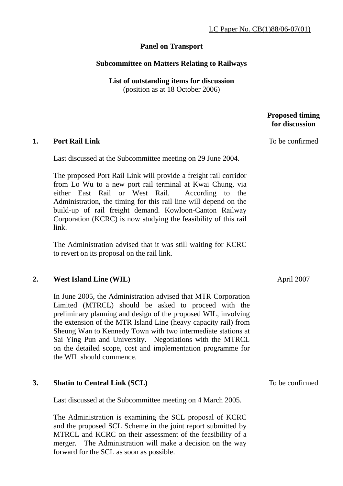# **Panel on Transport**

### **Subcommittee on Matters Relating to Railways**

**List of outstanding items for discussion**  (position as at 18 October 2006)

### **Proposed timing for discussion**

To be confirmed

#### **1. Port Rail Link**

Last discussed at the Subcommittee meeting on 29 June 2004.

The proposed Port Rail Link will provide a freight rail corridor from Lo Wu to a new port rail terminal at Kwai Chung, via either East Rail or West Rail. According to the Administration, the timing for this rail line will depend on the build-up of rail freight demand. Kowloon-Canton Railway Corporation (KCRC) is now studying the feasibility of this rail link.

The Administration advised that it was still waiting for KCRC to revert on its proposal on the rail link.

### **2. West Island Line (WIL)**

In June 2005, the Administration advised that MTR Corporation Limited (MTRCL) should be asked to proceed with the preliminary planning and design of the proposed WIL, involving the extension of the MTR Island Line (heavy capacity rail) from Sheung Wan to Kennedy Town with two intermediate stations at Sai Ying Pun and University. Negotiations with the MTRCL on the detailed scope, cost and implementation programme for the WIL should commence.

### **3. Shatin to Central Link (SCL)**

Last discussed at the Subcommittee meeting on 4 March 2005.

The Administration is examining the SCL proposal of KCRC and the proposed SCL Scheme in the joint report submitted by MTRCL and KCRC on their assessment of the feasibility of a merger. The Administration will make a decision on the way forward for the SCL as soon as possible.

April 2007

To be confirmed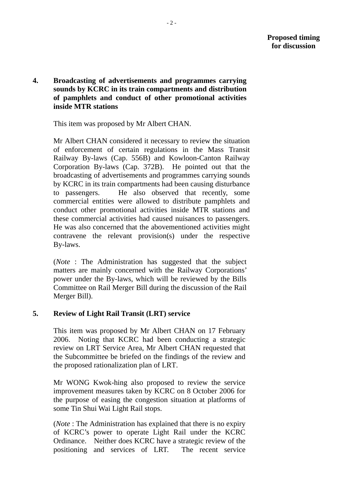**4. Broadcasting of advertisements and programmes carrying sounds by KCRC in its train compartments and distribution of pamphlets and conduct of other promotional activities inside MTR stations** 

This item was proposed by Mr Albert CHAN.

Mr Albert CHAN considered it necessary to review the situation of enforcement of certain regulations in the Mass Transit Railway By-laws (Cap. 556B) and Kowloon-Canton Railway Corporation By-laws (Cap. 372B). He pointed out that the broadcasting of advertisements and programmes carrying sounds by KCRC in its train compartments had been causing disturbance to passengers. He also observed that recently, some commercial entities were allowed to distribute pamphlets and conduct other promotional activities inside MTR stations and these commercial activities had caused nuisances to passengers. He was also concerned that the abovementioned activities might contravene the relevant provision(s) under the respective By-laws.

(*Note* : The Administration has suggested that the subject matters are mainly concerned with the Railway Corporations' power under the By-laws, which will be reviewed by the Bills Committee on Rail Merger Bill during the discussion of the Rail Merger Bill).

# **5. Review of Light Rail Transit (LRT) service**

This item was proposed by Mr Albert CHAN on 17 February 2006. Noting that KCRC had been conducting a strategic review on LRT Service Area, Mr Albert CHAN requested that the Subcommittee be briefed on the findings of the review and the proposed rationalization plan of LRT.

Mr WONG Kwok-hing also proposed to review the service improvement measures taken by KCRC on 8 October 2006 for the purpose of easing the congestion situation at platforms of some Tin Shui Wai Light Rail stops.

(*Note* : The Administration has explained that there is no expiry of KCRC's power to operate Light Rail under the KCRC Ordinance. Neither does KCRC have a strategic review of the positioning and services of LRT. The recent service